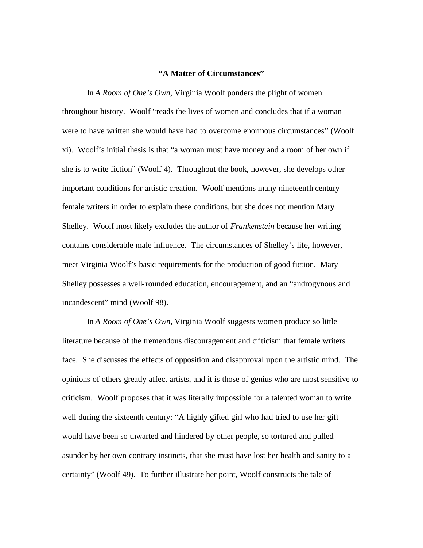## **"A Matter of Circumstances"**

In *A Room of One's Own,* Virginia Woolf ponders the plight of women throughout history. Woolf "reads the lives of women and concludes that if a woman were to have written she would have had to overcome enormous circumstances" (Woolf xi). Woolf's initial thesis is that "a woman must have money and a room of her own if she is to write fiction" (Woolf 4). Throughout the book, however, she develops other important conditions for artistic creation. Woolf mentions many nineteenth century female writers in order to explain these conditions, but she does not mention Mary Shelley. Woolf most likely excludes the author of *Frankenstein* because her writing contains considerable male influence. The circumstances of Shelley's life, however, meet Virginia Woolf's basic requirements for the production of good fiction. Mary Shelley possesses a well-rounded education, encouragement, and an "androgynous and incandescent" mind (Woolf 98).

In *A Room of One's Own,* Virginia Woolf suggests women produce so little literature because of the tremendous discouragement and criticism that female writers face. She discusses the effects of opposition and disapproval upon the artistic mind. The opinions of others greatly affect artists, and it is those of genius who are most sensitive to criticism. Woolf proposes that it was literally impossible for a talented woman to write well during the sixteenth century: "A highly gifted girl who had tried to use her gift would have been so thwarted and hindered by other people, so tortured and pulled asunder by her own contrary instincts, that she must have lost her health and sanity to a certainty" (Woolf 49). To further illustrate her point, Woolf constructs the tale of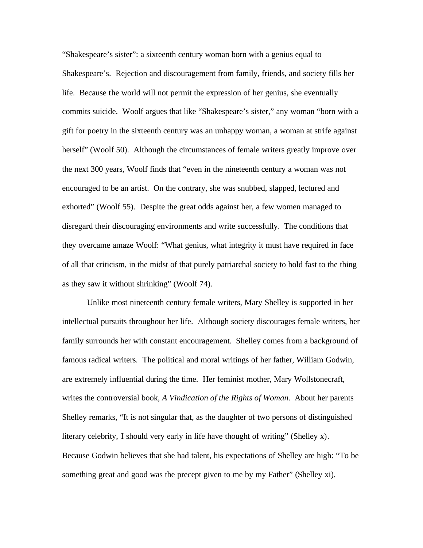"Shakespeare's sister": a sixteenth century woman born with a genius equal to Shakespeare's. Rejection and discouragement from family, friends, and society fills her life. Because the world will not permit the expression of her genius, she eventually commits suicide. Woolf argues that like "Shakespeare's sister," any woman "born with a gift for poetry in the sixteenth century was an unhappy woman, a woman at strife against herself" (Woolf 50). Although the circumstances of female writers greatly improve over the next 300 years, Woolf finds that "even in the nineteenth century a woman was not encouraged to be an artist. On the contrary, she was snubbed, slapped, lectured and exhorted" (Woolf 55). Despite the great odds against her, a few women managed to disregard their discouraging environments and write successfully. The conditions that they overcame amaze Woolf: "What genius, what integrity it must have required in face of all that criticism, in the midst of that purely patriarchal society to hold fast to the thing as they saw it without shrinking" (Woolf 74).

Unlike most nineteenth century female writers, Mary Shelley is supported in her intellectual pursuits throughout her life. Although society discourages female writers, her family surrounds her with constant encouragement. Shelley comes from a background of famous radical writers. The political and moral writings of her father, William Godwin, are extremely influential during the time. Her feminist mother, Mary Wollstonecraft, writes the controversial book, *A Vindication of the Rights of Woman.* About her parents Shelley remarks, "It is not singular that, as the daughter of two persons of distinguished literary celebrity, I should very early in life have thought of writing" (Shelley x). Because Godwin believes that she had talent, his expectations of Shelley are high: "To be something great and good was the precept given to me by my Father" (Shelley xi).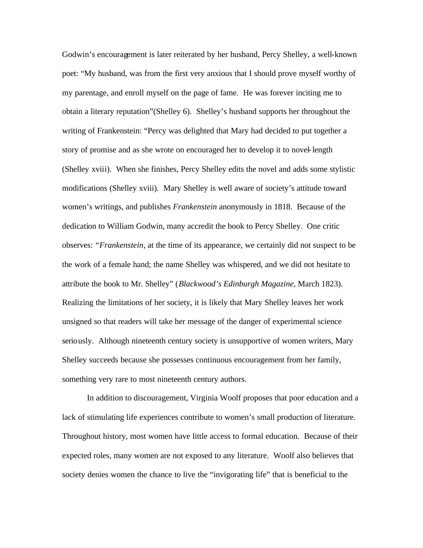Godwin's encouragement is later reiterated by her husband, Percy Shelley, a well-known poet: "My husband, was from the first very anxious that I should prove myself worthy of my parentage, and enroll myself on the page of fame. He was forever inciting me to obtain a literary reputation"(Shelley 6). Shelley's husband supports her throughout the writing of Frankenstein: "Percy was delighted that Mary had decided to put together a story of promise and as she wrote on encouraged her to develop it to novel-length (Shelley xviii). When she finishes, Percy Shelley edits the novel and adds some stylistic modifications (Shelley xviii). Mary Shelley is well aware of society's attitude toward women's writings, and publishes *Frankenstein* anonymously in 1818. Because of the dedication to William Godwin, many accredit the book to Percy Shelley. One critic observes: *"Frankenstein,* at the time of its appearance, we certainly did not suspect to be the work of a female hand; the name Shelley was whispered, and we did not hesitate to attribute the book to Mr. Shelley" (*Blackwood's Edinburgh Magazine,* March 1823). Realizing the limitations of her society, it is likely that Mary Shelley leaves her work unsigned so that readers will take her message of the danger of experimental science seriously. Although nineteenth century society is unsupportive of women writers, Mary Shelley succeeds because she possesses continuous encouragement from her family, something very rare to most nineteenth century authors.

In addition to discouragement, Virginia Woolf proposes that poor education and a lack of stimulating life experiences contribute to women's small production of literature. Throughout history, most women have little access to formal education. Because of their expected roles, many women are not exposed to any literature. Woolf also believes that society denies women the chance to live the "invigorating life" that is beneficial to the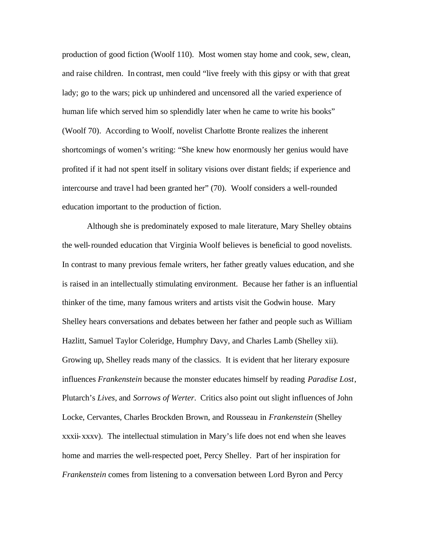production of good fiction (Woolf 110). Most women stay home and cook, sew, clean, and raise children. In contrast, men could "live freely with this gipsy or with that great lady; go to the wars; pick up unhindered and uncensored all the varied experience of human life which served him so splendidly later when he came to write his books" (Woolf 70). According to Woolf, novelist Charlotte Bronte realizes the inherent shortcomings of women's writing: "She knew how enormously her genius would have profited if it had not spent itself in solitary visions over distant fields; if experience and intercourse and trave l had been granted her" (70). Woolf considers a well-rounded education important to the production of fiction.

Although she is predominately exposed to male literature, Mary Shelley obtains the well-rounded education that Virginia Woolf believes is beneficial to good novelists. In contrast to many previous female writers, her father greatly values education, and she is raised in an intellectually stimulating environment. Because her father is an influential thinker of the time, many famous writers and artists visit the Godwin house. Mary Shelley hears conversations and debates between her father and people such as William Hazlitt, Samuel Taylor Coleridge, Humphry Davy, and Charles Lamb (Shelley xii). Growing up, Shelley reads many of the classics. It is evident that her literary exposure influences *Frankenstein* because the monster educates himself by reading *Paradise Lost*, Plutarch's *Lives*, and *Sorrows of Werter*. Critics also point out slight influences of John Locke, Cervantes, Charles Brockden Brown, and Rousseau in *Frankenstein* (Shelley xxxii-xxxv). The intellectual stimulation in Mary's life does not end when she leaves home and marries the well-respected poet, Percy Shelley. Part of her inspiration for *Frankenstein* comes from listening to a conversation between Lord Byron and Percy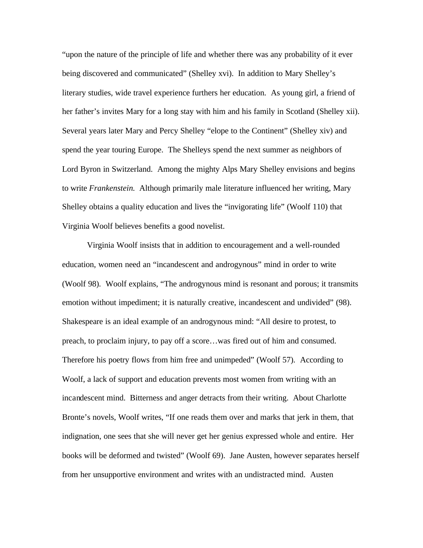"upon the nature of the principle of life and whether there was any probability of it ever being discovered and communicated" (Shelley xvi). In addition to Mary Shelley's literary studies, wide travel experience furthers her education. As young girl, a friend of her father's invites Mary for a long stay with him and his family in Scotland (Shelley xii). Several years later Mary and Percy Shelley "elope to the Continent" (Shelley xiv) and spend the year touring Europe. The Shelleys spend the next summer as neighbors of Lord Byron in Switzerland. Among the mighty Alps Mary Shelley envisions and begins to write *Frankenstein.* Although primarily male literature influenced her writing, Mary Shelley obtains a quality education and lives the "invigorating life" (Woolf 110) that Virginia Woolf believes benefits a good novelist.

Virginia Woolf insists that in addition to encouragement and a well-rounded education, women need an "incandescent and androgynous" mind in order to write (Woolf 98). Woolf explains, "The androgynous mind is resonant and porous; it transmits emotion without impediment; it is naturally creative, incandescent and undivided" (98). Shakespeare is an ideal example of an androgynous mind: "All desire to protest, to preach, to proclaim injury, to pay off a score…was fired out of him and consumed. Therefore his poetry flows from him free and unimpeded" (Woolf 57). According to Woolf, a lack of support and education prevents most women from writing with an incandescent mind. Bitterness and anger detracts from their writing. About Charlotte Bronte's novels, Woolf writes, "If one reads them over and marks that jerk in them, that indignation, one sees that she will never get her genius expressed whole and entire. Her books will be deformed and twisted" (Woolf 69). Jane Austen, however separates herself from her unsupportive environment and writes with an undistracted mind. Austen